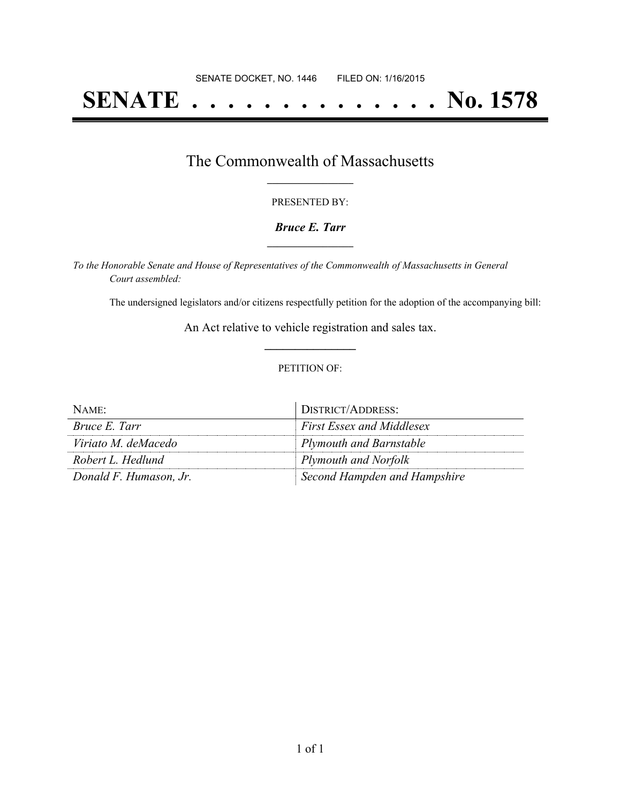# **SENATE . . . . . . . . . . . . . . No. 1578**

## The Commonwealth of Massachusetts **\_\_\_\_\_\_\_\_\_\_\_\_\_\_\_\_\_**

#### PRESENTED BY:

#### *Bruce E. Tarr* **\_\_\_\_\_\_\_\_\_\_\_\_\_\_\_\_\_**

*To the Honorable Senate and House of Representatives of the Commonwealth of Massachusetts in General Court assembled:*

The undersigned legislators and/or citizens respectfully petition for the adoption of the accompanying bill:

An Act relative to vehicle registration and sales tax. **\_\_\_\_\_\_\_\_\_\_\_\_\_\_\_**

#### PETITION OF:

| NAME:                  | DISTRICT/ADDRESS:                |
|------------------------|----------------------------------|
| Bruce E. Tarr          | <b>First Essex and Middlesex</b> |
| Viriato M. deMacedo    | <b>Plymouth and Barnstable</b>   |
| Robert L. Hedlund      | <b>Plymouth and Norfolk</b>      |
| Donald F. Humason, Jr. | Second Hampden and Hampshire     |